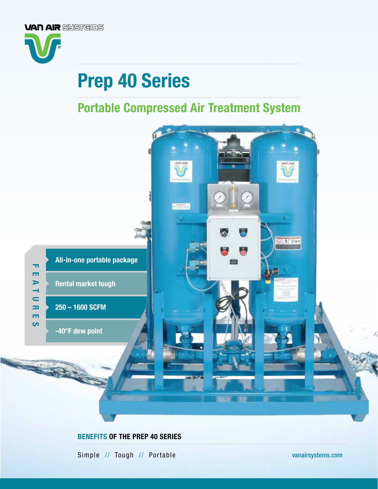

# Prep 40 Series

## Portable Compressed Air Treatment System



Simple // Tough // Portable [vanairsystems.com](http://www.vanairsystems.com)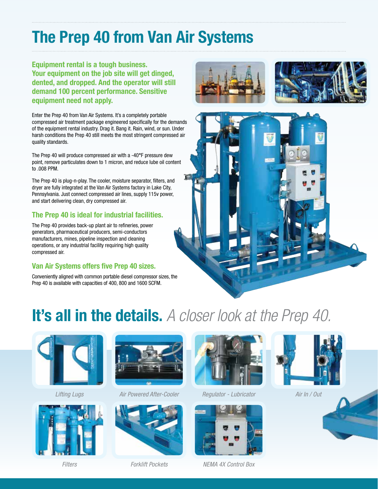## The Prep 40 from Van Air Systems

Equipment rental is a tough business. Your equipment on the job site will get dinged, dented, and dropped. And the operator will still demand 100 percent performance. Sensitive equipment need not apply.

Enter the Prep 40 from Van Air Systems. It's a completely portable compressed air treatment package engineered specifically for the demands of the equipment rental industry. Drag it. Bang it. Rain, wind, or sun. Under harsh conditions the Prep 40 still meets the most stringent compressed air quality standards.

The Prep 40 will produce compressed air with a -40°F pressure dew point, remove particulates down to 1 micron, and reduce lube oil content to .008 PPM.

The Prep 40 is plug-n-play. The cooler, moisture separator, filters, and dryer are fully integrated at the Van Air Systems factory in Lake City, Pennsylvania. Just connect compressed air lines, supply 115v power, and start delivering clean, dry compressed air.

### The Prep 40 is ideal for industrial facilities.

The Prep 40 provides back-up plant air to refineries, power generators, pharmaceutical producers, semi-conductors manufacturers, mines, pipeline inspection and cleaning operations, or any industrial facility requiring high quality compressed air.

### Van Air Systems offers five Prep 40 sizes.

Conveniently aligned with common portable diesel compressor sizes, the Prep 40 is available with capacities of 400, 800 and 1600 SCFM.





# It's all in the details. *A closer look at the Prep 40.*







*Lifting Lugs Air Powered After-Cooler*



*Filters Forklift Pockets*



*Regulator - Lubricator*





*NEMA 4X Control Box*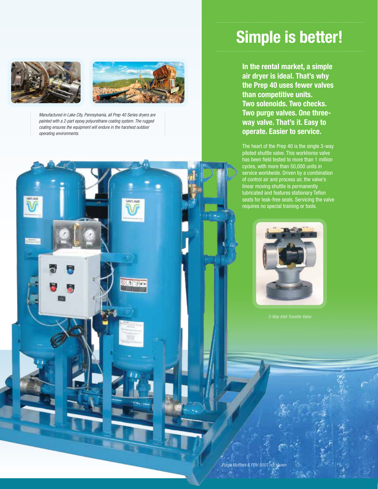



*Manufactured in Lake City, Pennsylvania, all Prep 40 Series dryers are painted with a 2-part epoxy polyurethane coating system. The rugged coating ensures the equipment will endure in the harshest outdoor operating environments.*

## Simple is better!

In the rental market, a simple air dryer is ideal. That's why the Prep 40 uses fewer valves than competitive units. Two solenoids. Two checks. Two purge valves. One threeway valve. That's it. Easy to operate. Easier to service.

The heart of the Prep 40 is the single 3-way piloted shuttle valve. This workhorse valve has been field tested to more than 1 million cycles, with more than 50,000 units in service worldwide. Driven by a combination of control air and process air, the valve's linear moving shuttle is permanently lubricated and features stationary Teflon seats for leak-free seals. Servicing the valve requires no special training or tools.

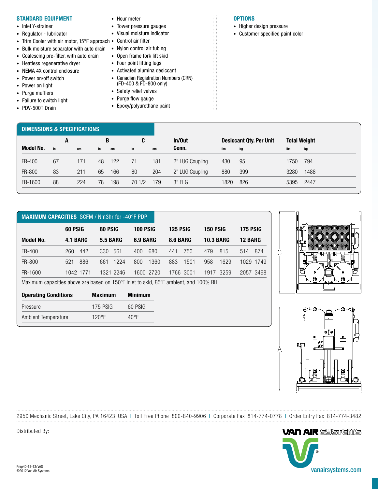#### STANDARD EQUIPMENT

- Inlet Y-strainer
- Regulator lubricator
- Trim Cooler with air motor, 15°F approach Control air filter
- Bulk moisture separator with auto drain Nylon control air tubing
- Coalescing pre-filter, with auto drain
- Heatless regenerative dryer
- NEMA 4X control enclosure
- Power on/off switch
- Power on light
- Purge mufflers
- Failure to switch light
- PDV-500T Drain
- Hour meter
- Tower pressure gauges
- Visual moisture indicator
- 
- 
- Open frame fork lift skid
- Four point lifting lugs
- Activated alumina desiccant • Canadian Registration Numbers (CRN) (FD-400 & FD-800 only)
- Safety relief valves
- Purge flow gauge
- Epoxy/polyurethane paint

#### **OPTIONS**

- Higher design pressure
- Customer specified paint color

| DIMENSIONS & SPECIFICATIONS |    |     |    |     |        |     |                 |      |                                |      |                     |  |
|-----------------------------|----|-----|----|-----|--------|-----|-----------------|------|--------------------------------|------|---------------------|--|
|                             | A  |     | В  |     | C      |     | In/Out          |      | <b>Desiccant Qty. Per Unit</b> |      | <b>Total Weight</b> |  |
| <b>Model No.</b>            | in | cm  | in | cm  | in     | cm  | Conn.           | lbs  | kg                             | lbs  | kg                  |  |
| FR-400                      | 67 | 171 | 48 | 122 | 71     | 181 | 2" LUG Coupling | 430  | 95                             | 1750 | 794                 |  |
| FR-800                      | 83 | 211 | 65 | 166 | 80     | 204 | 2" LUG Coupling | 880  | 399                            | 3280 | 1488                |  |
| FR-1600                     | 88 | 224 | 78 | 198 | 70 1/2 | 179 | $3"$ FLG        | 1820 | 826                            | 5395 | 2447                |  |

| <b>MAXIMUM CAPACITIES</b> SCFM / Nm3hr for -40°F PDP |            |                 |                 |             |                  |               |  |  |
|------------------------------------------------------|------------|-----------------|-----------------|-------------|------------------|---------------|--|--|
|                                                      | 60 PSIG    | 80 PSIG         | <b>100 PSIG</b> | 125 PSIG    | <b>150 PSIG</b>  | 175 PSIG      |  |  |
| <b>Model No.</b>                                     | 4.1 BARG   | <b>5.5 BARG</b> | 6.9 BARG        | 8.6 BARG    | <b>10.3 BARG</b> | 12 BARG       |  |  |
| FR-400                                               | 442<br>260 | 330<br>561      | 680<br>400      | 750<br>441  | 815<br>479       | 874<br>514    |  |  |
| FR-800                                               | 886<br>521 | 1224<br>661     | 1360<br>800     | 883<br>1501 | 958<br>1629      | 1029.<br>1749 |  |  |
| FR-1600                                              | 1042 1771  | 1321 2246       | 1600 2720       | 1766 3001   | 3259<br>1917     | 3498<br>2057  |  |  |

Maximum capacities above are based on 150ºF inlet to skid, 85ºF ambient, and 100% RH.

| <b>Operating Conditions</b> | <b>Maximum</b> | <b>Minimum</b> |
|-----------------------------|----------------|----------------|
| Pressure                    | 175 PSIG       | 60 PSIG        |
| Ambient Temperature         | $120^{\circ}F$ | 40°F           |





2950 Mechanic Street, Lake City, PA 16423, USA | Toll Free Phone 800-840-9906 | Corporate Fax 814-774-0778 | Order Entry Fax 814-774-3482 . . . . . . . . . . . . . . .



Distributed By: